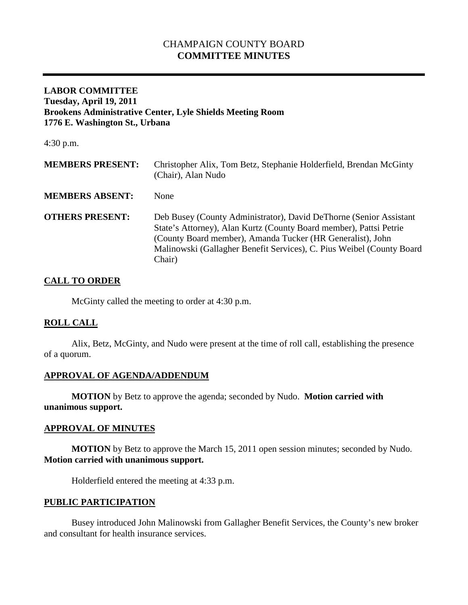# CHAMPAIGN COUNTY BOARD **COMMITTEE MINUTES**

### **LABOR COMMITTEE Tuesday, April 19, 2011 Brookens Administrative Center, Lyle Shields Meeting Room 1776 E. Washington St., Urbana**

4:30 p.m.

| <b>MEMBERS PRESENT:</b> | Christopher Alix, Tom Betz, Stephanie Holderfield, Brendan McGinty<br>(Chair), Alan Nudo                                                                                                                                                                                                  |
|-------------------------|-------------------------------------------------------------------------------------------------------------------------------------------------------------------------------------------------------------------------------------------------------------------------------------------|
| <b>MEMBERS ABSENT:</b>  | <b>None</b>                                                                                                                                                                                                                                                                               |
| <b>OTHERS PRESENT:</b>  | Deb Busey (County Administrator), David DeThorne (Senior Assistant<br>State's Attorney), Alan Kurtz (County Board member), Pattsi Petrie<br>(County Board member), Amanda Tucker (HR Generalist), John<br>Malinowski (Gallagher Benefit Services), C. Pius Weibel (County Board<br>Chair) |

### **CALL TO ORDER**

McGinty called the meeting to order at 4:30 p.m.

### **ROLL CALL**

Alix, Betz, McGinty, and Nudo were present at the time of roll call, establishing the presence of a quorum.

### **APPROVAL OF AGENDA/ADDENDUM**

**MOTION** by Betz to approve the agenda; seconded by Nudo. **Motion carried with unanimous support.**

#### **APPROVAL OF MINUTES**

**MOTION** by Betz to approve the March 15, 2011 open session minutes; seconded by Nudo. **Motion carried with unanimous support.**

Holderfield entered the meeting at 4:33 p.m.

#### **PUBLIC PARTICIPATION**

Busey introduced John Malinowski from Gallagher Benefit Services, the County's new broker and consultant for health insurance services.